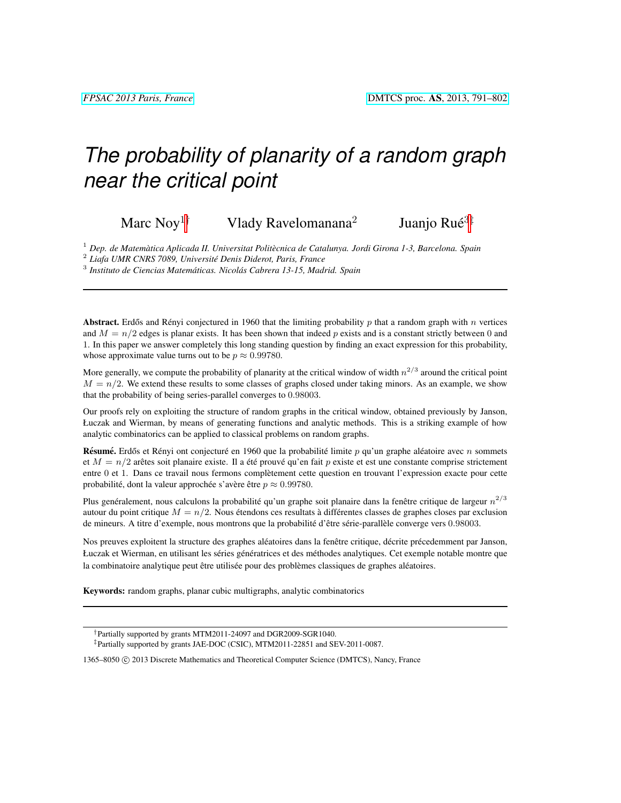# *The probability of planarity of a random graph near the critical point*

Marc Noy<sup>1†</sup> Vlady Ravelomanana<sup>2</sup>

Juanjo Rué<sup>3‡</sup>

<sup>1</sup> Dep. de Matemàtica Aplicada II. Universitat Politècnica de Catalunya. Jordi Girona 1-3, Barcelona. Spain

2 *Liafa UMR CNRS 7089, Universite Denis Diderot, Paris, France ´*

<sup>3</sup> Instituto de Ciencias Matemáticas. Nicolás Cabrera 13-15, Madrid. Spain

Abstract. Erdős and Rényi conjectured in 1960 that the limiting probability  $p$  that a random graph with  $n$  vertices and  $M = n/2$  edges is planar exists. It has been shown that indeed p exists and is a constant strictly between 0 and 1. In this paper we answer completely this long standing question by finding an exact expression for this probability, whose approximate value turns out to be  $p \approx 0.99780$ .

More generally, we compute the probability of planarity at the critical window of width  $n^{2/3}$  around the critical point  $M = n/2$ . We extend these results to some classes of graphs closed under taking minors. As an example, we show that the probability of being series-parallel converges to 0.98003.

Our proofs rely on exploiting the structure of random graphs in the critical window, obtained previously by Janson, Łuczak and Wierman, by means of generating functions and analytic methods. This is a striking example of how analytic combinatorics can be applied to classical problems on random graphs.

Résumé. Erdős et Rényi ont conjecturé en 1960 que la probabilité limite  $p$  qu'un graphe aléatoire avec  $n$  sommets et  $M = n/2$  arêtes soit planaire existe. Il a été prouvé qu'en fait p existe et est une constante comprise strictement entre 0 et 1. Dans ce travail nous fermons completement cette question en trouvant l'expression exacte pour cette ` probabilité, dont la valeur approchée s'avère être  $p \approx 0.99780$ .

Plus genéralement, nous calculons la probabilité qu'un graphe soit planaire dans la fenêtre critique de largeur  $n^{2/3}$ autour du point critique  $M = n/2$ . Nous étendons ces resultats à différentes classes de graphes closes par exclusion de mineurs. A titre d'exemple, nous montrons que la probabilité d'être série-parallèle converge vers 0.98003.

Nos preuves exploitent la structure des graphes aléatoires dans la fenêtre critique, décrite précedemment par Janson, Łuczak et Wierman, en utilisant les séries génératrices et des méthodes analytiques. Cet exemple notable montre que la combinatoire analytique peut être utilisée pour des problèmes classiques de graphes aléatoires.

Keywords: random graphs, planar cubic multigraphs, analytic combinatorics

1365–8050 C 2013 Discrete Mathematics and Theoretical Computer Science (DMTCS), Nancy, France

<sup>†</sup>Partially supported by grants MTM2011-24097 and DGR2009-SGR1040. ‡Partially supported by grants JAE-DOC (CSIC), MTM2011-22851 and SEV-2011-0087.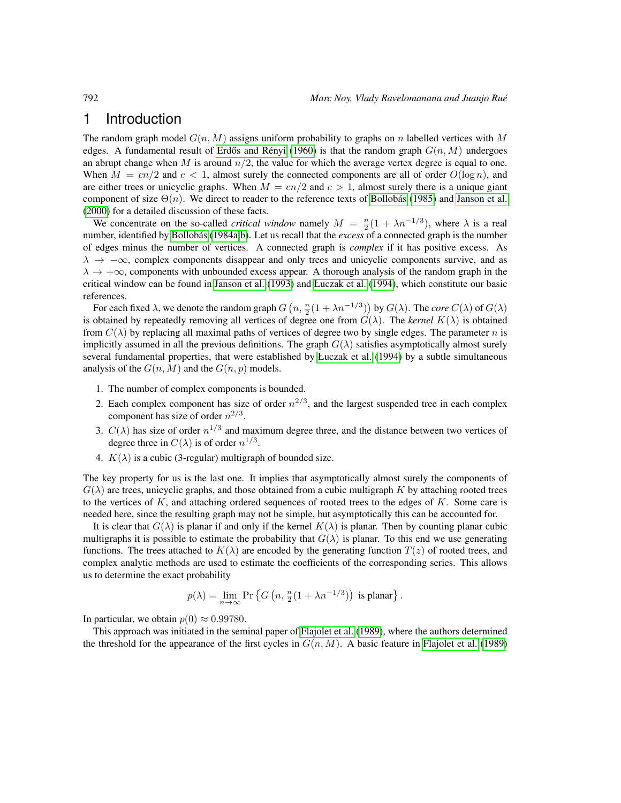### 1 Introduction

The random graph model  $G(n, M)$  assigns uniform probability to graphs on n labelled vertices with M edges. A fundamental result of Erdős and Rényi [\(1960\)](#page-10-0) is that the random graph  $G(n, M)$  undergoes an abrupt change when M is around  $n/2$ , the value for which the average vertex degree is equal to one. When  $M = cn/2$  and  $c < 1$ , almost surely the connected components are all of order  $O(log n)$ , and are either trees or unicyclic graphs. When  $M = cn/2$  and  $c > 1$ , almost surely there is a unique giant component of size  $\Theta(n)$ . We direct to reader to the reference texts of Bollobás [\(1985\)](#page-9-0) and [Janson et al.](#page-10-1) [\(2000\)](#page-10-1) for a detailed discussion of these facts.

We concentrate on the so-called *critical window* namely  $M = \frac{n}{2}(1 + \lambda n^{-1/3})$ , where  $\lambda$  is a real number, identified by Bollobás [\(1984a,](#page-9-1)[b\)](#page-9-2). Let us recall that the *excess* of a connected graph is the number of edges minus the number of vertices. A connected graph is *complex* if it has positive excess. As  $\lambda \to -\infty$ , complex components disappear and only trees and unicyclic components survive, and as  $\lambda \to +\infty$ , components with unbounded excess appear. A thorough analysis of the random graph in the critical window can be found in [Janson et al.](#page-10-2) [\(1993\)](#page-10-2) and [Łuczak et al.](#page-10-3) [\(1994\)](#page-10-3), which constitute our basic references.

For each fixed  $\lambda$ , we denote the random graph  $G\left(n,\frac{n}{2}(1+\lambda n^{-1/3})\right)$  by  $G(\lambda)$ . The *core*  $C(\lambda)$  of  $G(\lambda)$ is obtained by repeatedly removing all vertices of degree one from  $G(\lambda)$ . The *kernel*  $K(\lambda)$  is obtained from  $C(\lambda)$  by replacing all maximal paths of vertices of degree two by single edges. The parameter n is implicitly assumed in all the previous definitions. The graph  $G(\lambda)$  satisfies asymptotically almost surely several fundamental properties, that were established by [Łuczak et al.](#page-10-3) [\(1994\)](#page-10-3) by a subtle simultaneous analysis of the  $G(n, M)$  and the  $G(n, p)$  models.

- 1. The number of complex components is bounded.
- 2. Each complex component has size of order  $n^{2/3}$ , and the largest suspended tree in each complex component has size of order  $n^{2/3}$ .
- 3.  $C(\lambda)$  has size of order  $n^{1/3}$  and maximum degree three, and the distance between two vertices of degree three in  $C(\lambda)$  is of order  $n^{1/3}$ .
- 4.  $K(\lambda)$  is a cubic (3-regular) multigraph of bounded size.

The key property for us is the last one. It implies that asymptotically almost surely the components of  $G(\lambda)$  are trees, unicyclic graphs, and those obtained from a cubic multigraph K by attaching rooted trees to the vertices of  $K$ , and attaching ordered sequences of rooted trees to the edges of  $K$ . Some care is needed here, since the resulting graph may not be simple, but asymptotically this can be accounted for.

It is clear that  $G(\lambda)$  is planar if and only if the kernel  $K(\lambda)$  is planar. Then by counting planar cubic multigraphs it is possible to estimate the probability that  $G(\lambda)$  is planar. To this end we use generating functions. The trees attached to  $K(\lambda)$  are encoded by the generating function  $T(z)$  of rooted trees, and complex analytic methods are used to estimate the coefficients of the corresponding series. This allows us to determine the exact probability

$$
p(\lambda) = \lim_{n \to \infty} \Pr \left\{ G \left( n, \frac{n}{2} (1 + \lambda n^{-1/3}) \right) \text{ is planar} \right\}.
$$

In particular, we obtain  $p(0) \approx 0.99780$ .

This approach was initiated in the seminal paper of [Flajolet et al.](#page-10-4) [\(1989\)](#page-10-4), where the authors determined the threshold for the appearance of the first cycles in  $G(n, M)$ . A basic feature in [Flajolet et al.](#page-10-4) [\(1989\)](#page-10-4)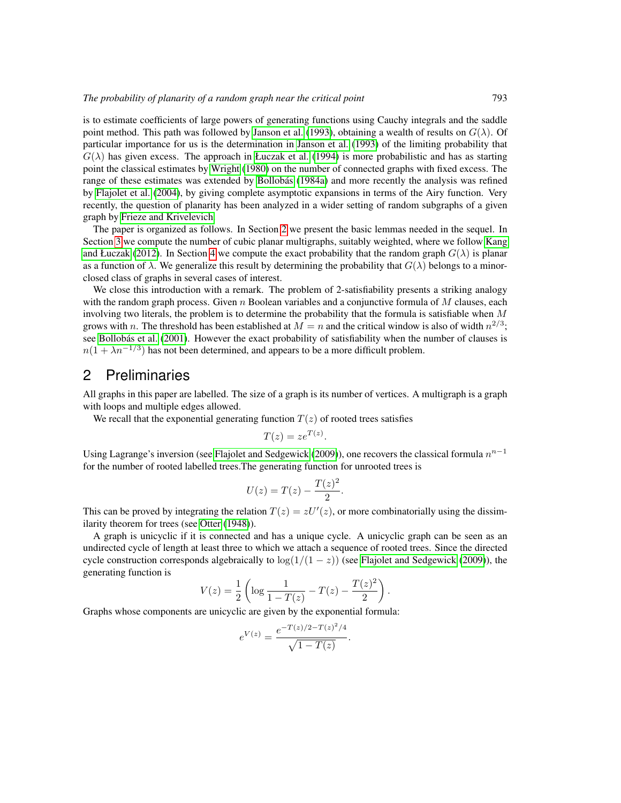is to estimate coefficients of large powers of generating functions using Cauchy integrals and the saddle point method. This path was followed by [Janson et al.](#page-10-2) [\(1993\)](#page-10-2), obtaining a wealth of results on  $G(\lambda)$ . Of particular importance for us is the determination in [Janson et al.](#page-10-2) [\(1993\)](#page-10-2) of the limiting probability that  $G(\lambda)$  has given excess. The approach in [Łuczak et al.](#page-10-3) [\(1994\)](#page-10-3) is more probabilistic and has as starting point the classical estimates by [Wright](#page-10-5) [\(1980\)](#page-10-5) on the number of connected graphs with fixed excess. The range of these estimates was extended by Bollobás [\(1984a\)](#page-9-1) and more recently the analysis was refined by [Flajolet et al.](#page-10-6) [\(2004\)](#page-10-6), by giving complete asymptotic expansions in terms of the Airy function. Very recently, the question of planarity has been analyzed in a wider setting of random subgraphs of a given graph by [Frieze and Krivelevich.](#page-10-7)

The paper is organized as follows. In Section [2](#page-2-0) we present the basic lemmas needed in the sequel. In Section [3](#page-5-0) we compute the number of cubic planar multigraphs, suitably weighted, where we follow [Kang](#page-10-8) [and Łuczak](#page-10-8) [\(2012\)](#page-10-8). In Section [4](#page-6-0) we compute the exact probability that the random graph  $G(\lambda)$  is planar as a function of  $\lambda$ . We generalize this result by determining the probability that  $G(\lambda)$  belongs to a minorclosed class of graphs in several cases of interest.

We close this introduction with a remark. The problem of 2-satisfiability presents a striking analogy with the random graph process. Given  $n$  Boolean variables and a conjunctive formula of  $M$  clauses, each involving two literals, the problem is to determine the probability that the formula is satisfiable when  $M$ grows with n. The threshold has been established at  $M = n$  and the critical window is also of width  $n^{2/3}$ ; see Bollobás et al. [\(2001\)](#page-9-3). However the exact probability of satisfiability when the number of clauses is  $n(1 + \lambda n^{-1/3})$  has not been determined, and appears to be a more difficult problem.

### <span id="page-2-0"></span>2 Preliminaries

All graphs in this paper are labelled. The size of a graph is its number of vertices. A multigraph is a graph with loops and multiple edges allowed.

We recall that the exponential generating function  $T(z)$  of rooted trees satisfies

$$
T(z) = ze^{T(z)}.
$$

Using Lagrange's inversion (see [Flajolet and Sedgewick](#page-10-9) [\(2009\)](#page-10-9)), one recovers the classical formula  $n^{n-1}$ for the number of rooted labelled trees.The generating function for unrooted trees is

$$
U(z) = T(z) - \frac{T(z)^2}{2}.
$$

This can be proved by integrating the relation  $T(z) = zU'(z)$ , or more combinatorially using the dissimilarity theorem for trees (see [Otter](#page-10-10) [\(1948\)](#page-10-10)).

A graph is unicyclic if it is connected and has a unique cycle. A unicyclic graph can be seen as an undirected cycle of length at least three to which we attach a sequence of rooted trees. Since the directed cycle construction corresponds algebraically to  $log(1/(1-z))$  (see [Flajolet and Sedgewick](#page-10-9) [\(2009\)](#page-10-9)), the generating function is

$$
V(z) = \frac{1}{2} \left( \log \frac{1}{1 - T(z)} - T(z) - \frac{T(z)^2}{2} \right).
$$

Graphs whose components are unicyclic are given by the exponential formula:

$$
e^{V(z)} = \frac{e^{-T(z)/2 - T(z)^2/4}}{\sqrt{1 - T(z)}}.
$$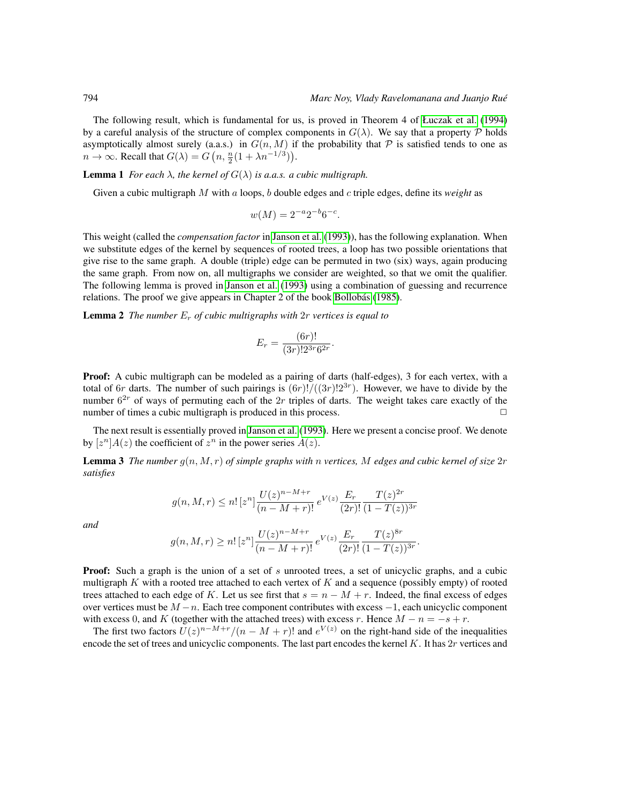The following result, which is fundamental for us, is proved in Theorem 4 of [Łuczak et al.](#page-10-3) [\(1994\)](#page-10-3) by a careful analysis of the structure of complex components in  $G(\lambda)$ . We say that a property P holds asymptotically almost surely (a.a.s.) in  $G(n, M)$  if the probability that P is satisfied tends to one as  $n \to \infty$ . Recall that  $G(\lambda) = G\left(n, \frac{n}{2}(1 + \lambda n^{-1/3})\right)$ .

**Lemma 1** *For each*  $\lambda$ *, the kernel of*  $G(\lambda)$  *is a.a.s. a cubic multigraph.* 

Given a cubic multigraph M with a loops, b double edges and c triple edges, define its *weight* as

$$
w(M) = 2^{-a} 2^{-b} 6^{-c}.
$$

This weight (called the *compensation factor* in [Janson et al.](#page-10-2) [\(1993\)](#page-10-2)), has the following explanation. When we substitute edges of the kernel by sequences of rooted trees, a loop has two possible orientations that give rise to the same graph. A double (triple) edge can be permuted in two (six) ways, again producing the same graph. From now on, all multigraphs we consider are weighted, so that we omit the qualifier. The following lemma is proved in [Janson et al.](#page-10-2) [\(1993\)](#page-10-2) using a combination of guessing and recurrence relations. The proof we give appears in Chapter 2 of the book Bollobás [\(1985\)](#page-9-0).

<span id="page-3-0"></span>Lemma 2 *The number* E<sup>r</sup> *of cubic multigraphs with* 2r *vertices is equal to*

$$
E_r = \frac{(6r)!}{(3r)!2^{3r}6^{2r}}.
$$

**Proof:** A cubic multigraph can be modeled as a pairing of darts (half-edges), 3 for each vertex, with a total of 6r darts. The number of such pairings is  $(6r)! / ((3r)!2^{3r})$ . However, we have to divide by the number  $6^{2r}$  of ways of permuting each of the  $2r$  triples of darts. The weight takes care exactly of the number of times a cubic multigraph is produced in this process.  $\Box$ 

The next result is essentially proved in [Janson et al.](#page-10-2) [\(1993\)](#page-10-2). Here we present a concise proof. We denote by  $[z^n]A(z)$  the coefficient of  $z^n$  in the power series  $A(z)$ .

<span id="page-3-1"></span>Lemma 3 *The number* g(n, M, r) *of simple graphs with* n *vertices,* M *edges and cubic kernel of size* 2r *satisfies*

$$
g(n, M, r) \le n! \left[z^n\right] \frac{U(z)^{n-M+r}}{(n-M+r)!} e^{V(z)} \frac{E_r}{(2r)!} \frac{T(z)^{2r}}{(1-T(z))^{3r}}
$$

*and*

$$
g(n, M, r) \ge n! \left[z^n\right] \frac{U(z)^{n-M+r}}{(n-M+r)!} e^{V(z)} \frac{E_r}{(2r)!} \frac{T(z)^{8r}}{(1-T(z))^{3r}}.
$$

**Proof:** Such a graph is the union of a set of s unrooted trees, a set of unicyclic graphs, and a cubic multigraph K with a rooted tree attached to each vertex of K and a sequence (possibly empty) of rooted trees attached to each edge of K. Let us see first that  $s = n - M + r$ . Indeed, the final excess of edges over vertices must be  $M - n$ . Each tree component contributes with excess  $-1$ , each unicyclic component with excess 0, and K (together with the attached trees) with excess r. Hence  $M - n = -s + r$ .

The first two factors  $U(z)^{n-M+r}/(n-M+r)!$  and  $e^{V(z)}$  on the right-hand side of the inequalities encode the set of trees and unicyclic components. The last part encodes the kernel  $K$ . It has  $2r$  vertices and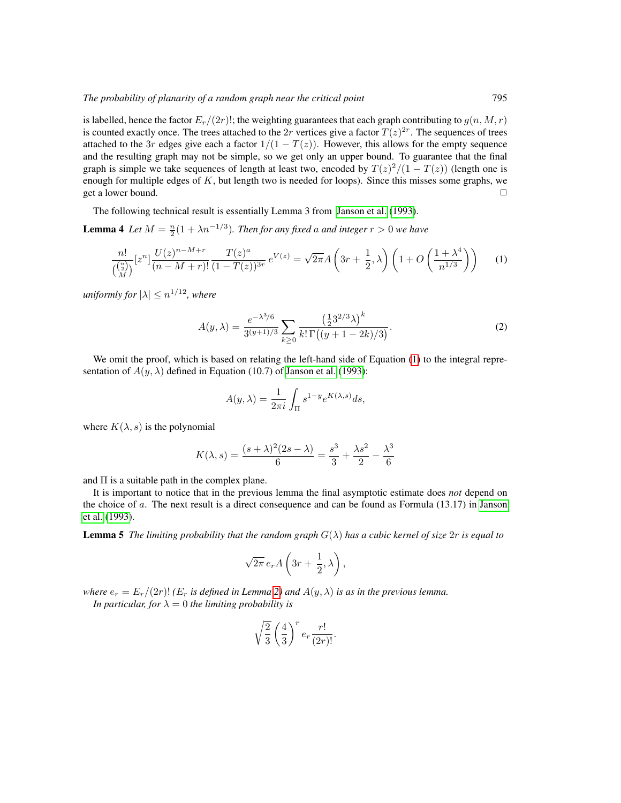is labelled, hence the factor  $E_r/(2r)!$ ; the weighting guarantees that each graph contributing to  $q(n, M, r)$ is counted exactly once. The trees attached to the 2r vertices give a factor  $T(z)^{2r}$ . The sequences of trees attached to the 3r edges give each a factor  $1/(1 - T(z))$ . However, this allows for the empty sequence and the resulting graph may not be simple, so we get only an upper bound. To guarantee that the final graph is simple we take sequences of length at least two, encoded by  $T(z)^2/(1-T(z))$  (length one is enough for multiple edges of  $K$ , but length two is needed for loops). Since this misses some graphs, we get a lower bound.  $\Box$ 

The following technical result is essentially Lemma 3 from [Janson et al.](#page-10-2) [\(1993\)](#page-10-2).

<span id="page-4-1"></span>**Lemma 4** Let  $M = \frac{n}{2}(1 + \lambda n^{-1/3})$ *. Then for any fixed a and integer*  $r > 0$  *we have* 

<span id="page-4-0"></span>
$$
\frac{n!}{\binom{\binom{n}{2}}{M}} [z^n] \frac{U(z)^{n-M+r}}{(n-M+r)!} \frac{T(z)^a}{(1-T(z))^{3r}} e^{V(z)} = \sqrt{2\pi} A \left(3r + \frac{1}{2}, \lambda\right) \left(1 + O\left(\frac{1+\lambda^4}{n^{1/3}}\right)\right) \tag{1}
$$

*uniformly for*  $|\lambda| \leq n^{1/12}$ *, where* 

$$
A(y,\lambda) = \frac{e^{-\lambda^3/6}}{3^{(y+1)/3}} \sum_{k \ge 0} \frac{\left(\frac{1}{2}3^{2/3}\lambda\right)^k}{k!\,\Gamma\left((y+1-2k)/3\right)}.\tag{2}
$$

We omit the proof, which is based on relating the left-hand side of Equation [\(1\)](#page-4-0) to the integral representation of  $A(y, \lambda)$  defined in Equation (10.7) of [Janson et al.](#page-10-2) [\(1993\)](#page-10-2):

$$
A(y,\lambda) = \frac{1}{2\pi i} \int_{\Pi} s^{1-y} e^{K(\lambda,s)} ds,
$$

where  $K(\lambda, s)$  is the polynomial

$$
K(\lambda, s) = \frac{(s + \lambda)^2 (2s - \lambda)}{6} = \frac{s^3}{3} + \frac{\lambda s^2}{2} - \frac{\lambda^3}{6}
$$

and  $\Pi$  is a suitable path in the complex plane.

It is important to notice that in the previous lemma the final asymptotic estimate does *not* depend on the choice of a. The next result is a direct consequence and can be found as Formula (13.17) in [Janson](#page-10-2) [et al.](#page-10-2) [\(1993\)](#page-10-2).

**Lemma 5** *The limiting probability that the random graph*  $G(\lambda)$  *has a cubic kernel of size*  $2r$  *is equal to* 

$$
\sqrt{2\pi} \, e_r A\left(3r + \frac{1}{2}, \lambda\right),
$$

*where*  $e_r = E_r/(2r)!$  *(E<sub>r</sub> is defined in Lemma [2\)](#page-3-0) and*  $A(y, \lambda)$  *is as in the previous lemma. In particular, for*  $\lambda = 0$  *the limiting probability is* 

$$
\sqrt{\frac{2}{3}} \left(\frac{4}{3}\right)^r e_r \frac{r!}{(2r)!}.
$$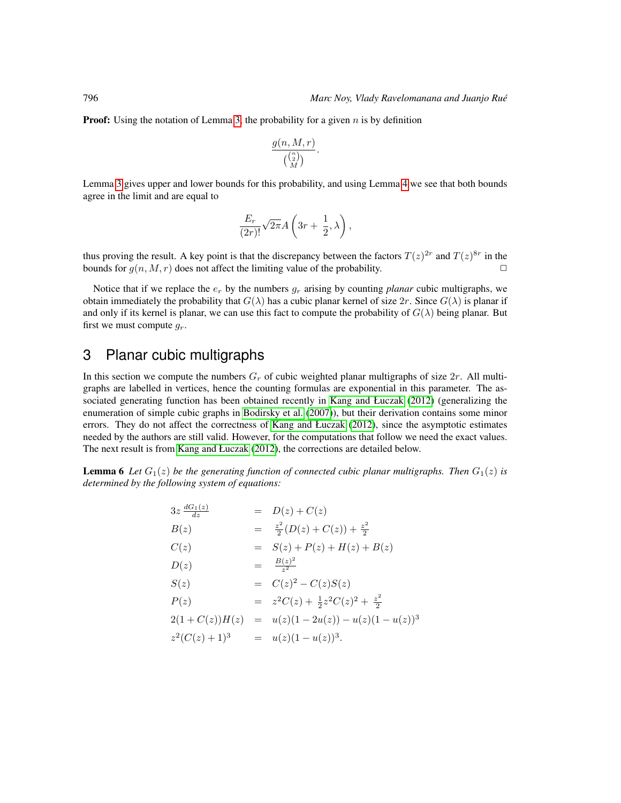**Proof:** Using the notation of Lemma [3,](#page-3-1) the probability for a given  $n$  is by definition

$$
\frac{g(n,M,r)}{\binom{\binom{n}{2}}{M}}.
$$

Lemma [3](#page-3-1) gives upper and lower bounds for this probability, and using Lemma [4](#page-4-1) we see that both bounds agree in the limit and are equal to

$$
\frac{E_r}{(2r)!}\sqrt{2\pi}A\left(3r+\frac{1}{2},\lambda\right),
$$

thus proving the result. A key point is that the discrepancy between the factors  $T(z)^{2r}$  and  $T(z)^{8r}$  in the bounds for  $g(n, M, r)$  does not affect the limiting value of the probability.

Notice that if we replace the  $e_r$  by the numbers  $g_r$  arising by counting *planar* cubic multigraphs, we obtain immediately the probability that  $G(\lambda)$  has a cubic planar kernel of size  $2r$ . Since  $G(\lambda)$  is planar if and only if its kernel is planar, we can use this fact to compute the probability of  $G(\lambda)$  being planar. But first we must compute  $g_r$ .

## <span id="page-5-0"></span>3 Planar cubic multigraphs

In this section we compute the numbers  $G_r$  of cubic weighted planar multigraphs of size  $2r$ . All multigraphs are labelled in vertices, hence the counting formulas are exponential in this parameter. The associated generating function has been obtained recently in [Kang and Łuczak](#page-10-8) [\(2012\)](#page-10-8) (generalizing the enumeration of simple cubic graphs in [Bodirsky et al.](#page-9-4) [\(2007\)](#page-9-4)), but their derivation contains some minor errors. They do not affect the correctness of [Kang and Łuczak](#page-10-8) [\(2012\)](#page-10-8), since the asymptotic estimates needed by the authors are still valid. However, for the computations that follow we need the exact values. The next result is from [Kang and Łuczak](#page-10-8) [\(2012\)](#page-10-8), the corrections are detailed below.

<span id="page-5-1"></span>**Lemma 6** Let  $G_1(z)$  be the generating function of connected cubic planar multigraphs. Then  $G_1(z)$  is *determined by the following system of equations:*

$$
3z \frac{dG_1(z)}{dz} = D(z) + C(z)
$$
  
\n
$$
B(z) = \frac{z^2}{2}(D(z) + C(z)) + \frac{z^2}{2}
$$
  
\n
$$
C(z) = S(z) + P(z) + H(z) + B(z)
$$
  
\n
$$
D(z) = \frac{B(z)^2}{z^2}
$$
  
\n
$$
S(z) = C(z)^2 - C(z)S(z)
$$
  
\n
$$
P(z) = z^2C(z) + \frac{1}{2}z^2C(z)^2 + \frac{z^2}{2}
$$
  
\n
$$
2(1 + C(z))H(z) = u(z)(1 - 2u(z)) - u(z)(1 - u(z))^3
$$
  
\n
$$
z^2(C(z) + 1)^3 = u(z)(1 - u(z))^3.
$$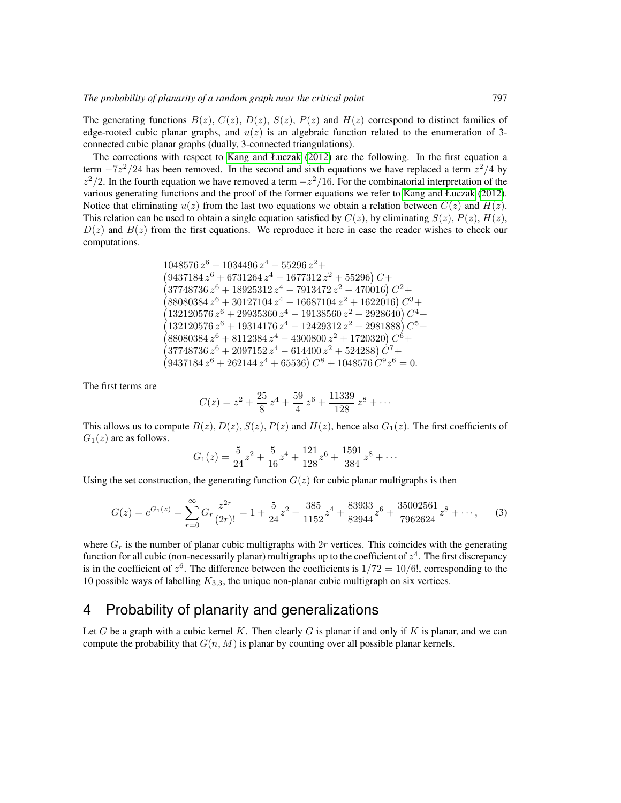The generating functions  $B(z)$ ,  $C(z)$ ,  $D(z)$ ,  $S(z)$ ,  $P(z)$  and  $H(z)$  correspond to distinct families of edge-rooted cubic planar graphs, and  $u(z)$  is an algebraic function related to the enumeration of 3connected cubic planar graphs (dually, 3-connected triangulations).

The corrections with respect to [Kang and Łuczak](#page-10-8) [\(2012\)](#page-10-8) are the following. In the first equation a term  $-7z^2/24$  has been removed. In the second and sixth equations we have replaced a term  $z^2/4$  by  $z^2/2$ . In the fourth equation we have removed a term  $-z^2/16$ . For the combinatorial interpretation of the various generating functions and the proof of the former equations we refer to [Kang and Łuczak](#page-10-8) [\(2012\)](#page-10-8). Notice that eliminating  $u(z)$  from the last two equations we obtain a relation between  $C(z)$  and  $H(z)$ . This relation can be used to obtain a single equation satisfied by  $C(z)$ , by eliminating  $S(z)$ ,  $P(z)$ ,  $H(z)$ ,  $D(z)$  and  $B(z)$  from the first equations. We reproduce it here in case the reader wishes to check our computations.

> $1048576 z^6 + 1034496 z^4 - 55296 z^2 +$  $(9437184 z^6 + 6731264 z^4 - 1677312 z^2 + 55296)$  C+  $(37748736\,z^6 + 18925312\,z^4 - 7913472\,z^2 + 470016)\,C^2 +$  $(88080384 z^6 + 30127104 z^4 - 16687104 z^2 + 1622016) C^3 +$  $(132120576\,z^6 + 29935360\,z^4 - 19138560\,z^2 + 2928640)\,C^4 +$  $(132120576\,z^6 + 19314176\,z^4 - 12429312\,z^2 + 2981888)C^5 +$  $(88080384 z^6 + 8112384 z^4 - 4300800 z^2 + 1720320) C^6 +$  $(37748736\,z^6 + 2097152\,z^4 - 614400\,z^2 + 524288)\,\dot{C}^7 +$  $(9437184 z^6 + 262144 z^4 + 65536) C^8 + 1048576 C^9 z^6 = 0.$

The first terms are

$$
C(z) = z2 + \frac{25}{8}z4 + \frac{59}{4}z6 + \frac{11339}{128}z8 + \cdots
$$

This allows us to compute  $B(z)$ ,  $D(z)$ ,  $S(z)$ ,  $P(z)$  and  $H(z)$ , hence also  $G_1(z)$ . The first coefficients of  $G_1(z)$  are as follows.

$$
G_1(z) = \frac{5}{24}z^2 + \frac{5}{16}z^4 + \frac{121}{128}z^6 + \frac{1591}{384}z^8 + \cdots
$$

Using the set construction, the generating function  $G(z)$  for cubic planar multigraphs is then

$$
G(z) = e^{G_1(z)} = \sum_{r=0}^{\infty} G_r \frac{z^{2r}}{(2r)!} = 1 + \frac{5}{24}z^2 + \frac{385}{1152}z^4 + \frac{83933}{82944}z^6 + \frac{35002561}{7962624}z^8 + \cdots,
$$
 (3)

where  $G_r$  is the number of planar cubic multigraphs with  $2r$  vertices. This coincides with the generating function for all cubic (non-necessarily planar) multigraphs up to the coefficient of  $z^4$ . The first discrepancy is in the coefficient of  $z^6$ . The difference between the coefficients is  $1/72 = 10/6!$ , corresponding to the 10 possible ways of labelling  $K_{3,3}$ , the unique non-planar cubic multigraph on six vertices.

## <span id="page-6-0"></span>4 Probability of planarity and generalizations

<span id="page-6-1"></span>Let G be a graph with a cubic kernel K. Then clearly G is planar if and only if K is planar, and we can compute the probability that  $G(n, M)$  is planar by counting over all possible planar kernels.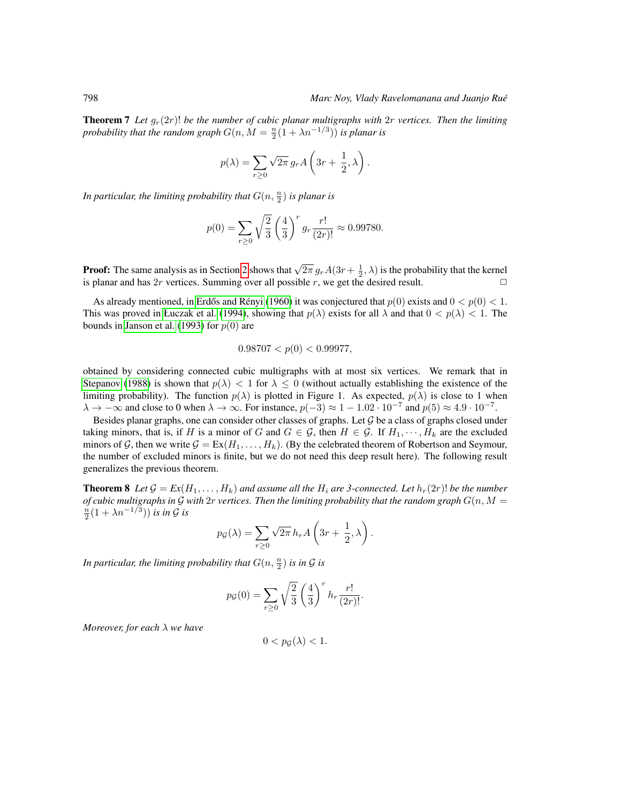**Theorem 7** Let  $g_r(2r)!$  be the number of cubic planar multigraphs with  $2r$  vertices. Then the limiting probability that the random graph  $G(n, M = \frac{n}{2}(1 + \lambda n^{-1/3}))$  is planar is

$$
p(\lambda) = \sum_{r \ge 0} \sqrt{2\pi} g_r A\left(3r + \frac{1}{2}, \lambda\right).
$$

In particular, the limiting probability that  $G(n,\frac{n}{2})$  is planar is

$$
p(0) = \sum_{r \ge 0} \sqrt{\frac{2}{3}} \left(\frac{4}{3}\right)^r g_r \frac{r!}{(2r)!} \approx 0.99780.
$$

**Proof:** The same analysis as in Section [2](#page-2-0) shows that  $\sqrt{2\pi} g_r A(3r + \frac{1}{2}, \lambda)$  is the probability that the kernel is planar and has 2r vertices. Summing over all possible r, we get the desired result.  $\Box$ 

As already mentioned, in Erdős and Rényi [\(1960\)](#page-10-0) it was conjectured that  $p(0)$  exists and  $0 < p(0) < 1$ . This was proved in [Łuczak et al.](#page-10-3) [\(1994\)](#page-10-3), showing that  $p(\lambda)$  exists for all  $\lambda$  and that  $0 < p(\lambda) < 1$ . The bounds in [Janson et al.](#page-10-2) [\(1993\)](#page-10-2) for  $p(0)$  are

$$
0.98707 < p(0) < 0.99977,
$$

obtained by considering connected cubic multigraphs with at most six vertices. We remark that in [Stepanov](#page-10-11) [\(1988\)](#page-10-11) is shown that  $p(\lambda) < 1$  for  $\lambda \leq 0$  (without actually establishing the existence of the limiting probability). The function  $p(\lambda)$  is plotted in Figure 1. As expected,  $p(\lambda)$  is close to 1 when  $\lambda \to -\infty$  and close to 0 when  $\lambda \to \infty$ . For instance,  $p(-3) \approx 1 - 1.02 \cdot 10^{-7}$  and  $p(5) \approx 4.9 \cdot 10^{-7}$ .

Besides planar graphs, one can consider other classes of graphs. Let  $G$  be a class of graphs closed under taking minors, that is, if H is a minor of G and  $G \in \mathcal{G}$ , then  $H \in \mathcal{G}$ . If  $H_1, \dots, H_k$  are the excluded minors of G, then we write  $G = Ex(H_1, \ldots, H_k)$ . (By the celebrated theorem of Robertson and Seymour, the number of excluded minors is finite, but we do not need this deep result here). The following result generalizes the previous theorem.

**Theorem 8** Let  $\mathcal{G} = \mathbb{E}x(H_1, \ldots, H_k)$  and assume all the  $H_i$  are 3-connected. Let  $h_r(2r)!$  be the number *of cubic multigraphs in G with*  $2r$  *vertices. Then the limiting probability that the random graph*  $G(n, M = \frac{n}{2}(1 + \lambda n^{-1/3}))$  *is in G is* 

$$
p_{\mathcal{G}}(\lambda) = \sum_{r \ge 0} \sqrt{2\pi} h_r A\left(3r + \frac{1}{2}, \lambda\right).
$$

In particular, the limiting probability that  $G(n,\frac{n}{2})$  is in  $\mathcal G$  is

$$
p_G(0) = \sum_{r \ge 0} \sqrt{\frac{2}{3}} \left(\frac{4}{3}\right)^r h_r \frac{r!}{(2r)!}.
$$

*Moreover, for each* λ *we have*

$$
0 < p_{\mathcal{G}}(\lambda) < 1.
$$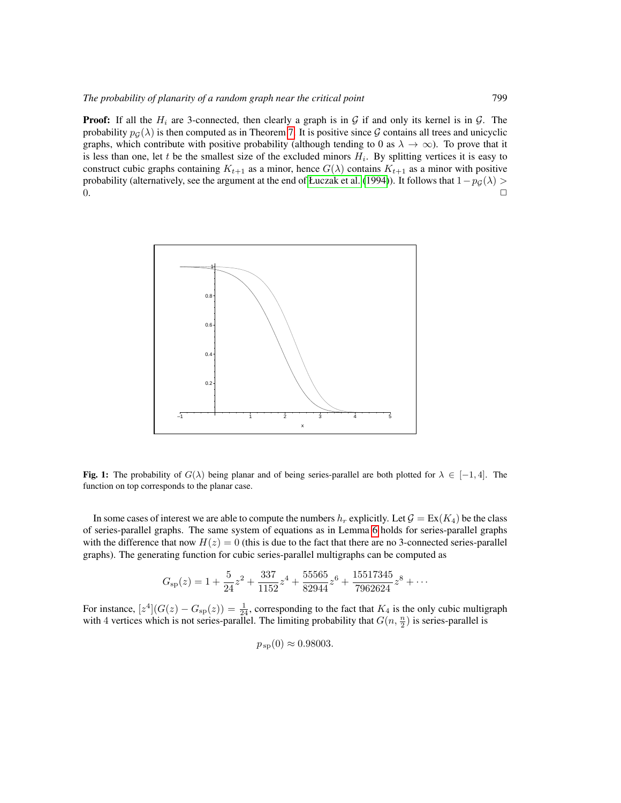**Proof:** If all the  $H_i$  are 3-connected, then clearly a graph is in  $G$  if and only its kernel is in  $G$ . The probability  $p_G(\lambda)$  is then computed as in Theorem [7.](#page-6-1) It is positive since G contains all trees and unicyclic graphs, which contribute with positive probability (although tending to 0 as  $\lambda \to \infty$ ). To prove that it is less than one, let t be the smallest size of the excluded minors  $H_i$ . By splitting vertices it is easy to construct cubic graphs containing  $K_{t+1}$  as a minor, hence  $G(\lambda)$  contains  $K_{t+1}$  as a minor with positive probability (alternatively, see the argument at the end of [Łuczak et al.](#page-10-3) [\(1994\)](#page-10-3)). It follows that  $1-p<sub>G</sub>(\lambda)$  >  $0.$ 



**Fig. 1:** The probability of  $G(\lambda)$  being planar and of being series-parallel are both plotted for  $\lambda \in [-1, 4]$ . The function on top corresponds to the planar case.

In some cases of interest we are able to compute the numbers  $h_r$  explicitly. Let  $\mathcal{G} = \text{Ex}(K_4)$  be the class of series-parallel graphs. The same system of equations as in Lemma [6](#page-5-1) holds for series-parallel graphs with the difference that now  $H(z) = 0$  (this is due to the fact that there are no 3-connected series-parallel graphs). The generating function for cubic series-parallel multigraphs can be computed as

$$
G_{\rm sp}(z) = 1 + \frac{5}{24}z^2 + \frac{337}{1152}z^4 + \frac{55565}{82944}z^6 + \frac{15517345}{7962624}z^8 + \cdots
$$

For instance,  $[z^4](G(z) - G_{\rm sp}(z)) = \frac{1}{24}$ , corresponding to the fact that  $K_4$  is the only cubic multigraph with 4 vertices which is not series-parallel. The limiting probability that  $G(n, \frac{n}{2})$  is series-parallel is

 $p_{sp}(0) \approx 0.98003$ .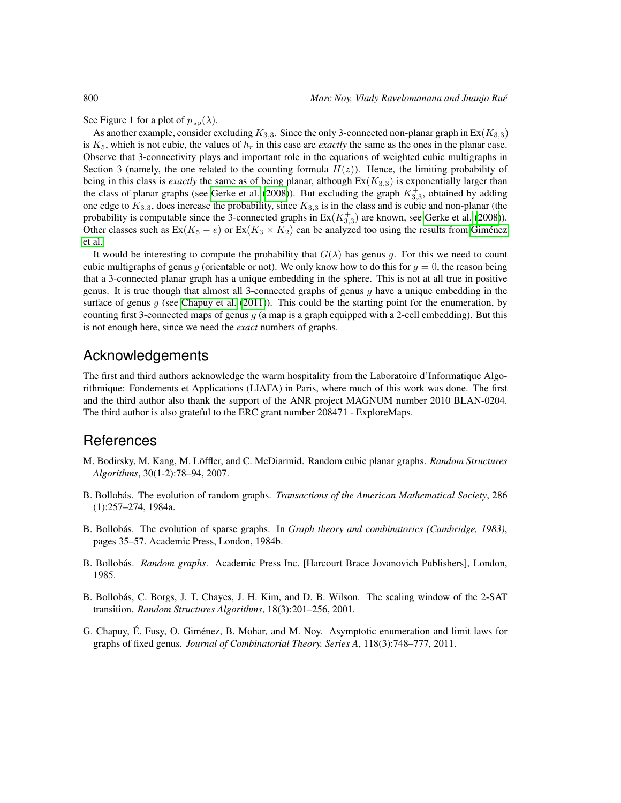See Figure 1 for a plot of  $p_{\text{sp}}(\lambda)$ .

As another example, consider excluding  $K_{3,3}$ . Since the only 3-connected non-planar graph in  $Ex(K_{3,3})$ is  $K_5$ , which is not cubic, the values of  $h_r$  in this case are *exactly* the same as the ones in the planar case. Observe that 3-connectivity plays and important role in the equations of weighted cubic multigraphs in Section 3 (namely, the one related to the counting formula  $H(z)$ ). Hence, the limiting probability of being in this class is *exactly* the same as of being planar, although  $Ex(K_{3,3})$  is exponentially larger than the class of planar graphs (see [Gerke et al.](#page-10-12) [\(2008\)](#page-10-12)). But excluding the graph  $K_{3,3}^+$ , obtained by adding one edge to  $K_{3,3}$ , does increase the probability, since  $K_{3,3}$  is in the class and is cubic and non-planar (the probability is computable since the 3-connected graphs in  $Ex(K_{3,3}^+)$  are known, see [Gerke et al.](#page-10-12) [\(2008\)](#page-10-12)). Other classes such as  $Ex(K_5 - e)$  or  $Ex(K_3 \times K_2)$  can be analyzed too using the results from Giménez [et al..](#page-10-13)

It would be interesting to compute the probability that  $G(\lambda)$  has genus g. For this we need to count cubic multigraphs of genus g (orientable or not). We only know how to do this for  $g = 0$ , the reason being that a 3-connected planar graph has a unique embedding in the sphere. This is not at all true in positive genus. It is true though that almost all 3-connected graphs of genus g have a unique embedding in the surface of genus  $g$  (see [Chapuy et al.](#page-9-5) [\(2011\)](#page-9-5)). This could be the starting point for the enumeration, by counting first 3-connected maps of genus g (a map is a graph equipped with a 2-cell embedding). But this is not enough here, since we need the *exact* numbers of graphs.

## Acknowledgements

The first and third authors acknowledge the warm hospitality from the Laboratoire d'Informatique Algorithmique: Fondements et Applications (LIAFA) in Paris, where much of this work was done. The first and the third author also thank the support of the ANR project MAGNUM number 2010 BLAN-0204. The third author is also grateful to the ERC grant number 208471 - ExploreMaps.

#### **References**

- <span id="page-9-4"></span>M. Bodirsky, M. Kang, M. Löffler, and C. McDiarmid. Random cubic planar graphs. *Random Structures Algorithms*, 30(1-2):78–94, 2007.
- <span id="page-9-1"></span>B. Bollobás. The evolution of random graphs. *Transactions of the American Mathematical Society*, 286 (1):257–274, 1984a.
- <span id="page-9-2"></span>B. Bollobás. The evolution of sparse graphs. In *Graph theory and combinatorics (Cambridge, 1983)*, pages 35–57. Academic Press, London, 1984b.
- <span id="page-9-0"></span>B. Bollobás. *Random graphs*. Academic Press Inc. [Harcourt Brace Jovanovich Publishers], London, 1985.
- <span id="page-9-3"></span>B. Bollobás, C. Borgs, J. T. Chayes, J. H. Kim, and D. B. Wilson. The scaling window of the 2-SAT transition. *Random Structures Algorithms*, 18(3):201–256, 2001.
- <span id="page-9-5"></span>G. Chapuy, É. Fusy, O. Giménez, B. Mohar, and M. Noy. Asymptotic enumeration and limit laws for graphs of fixed genus. *Journal of Combinatorial Theory. Series A*, 118(3):748–777, 2011.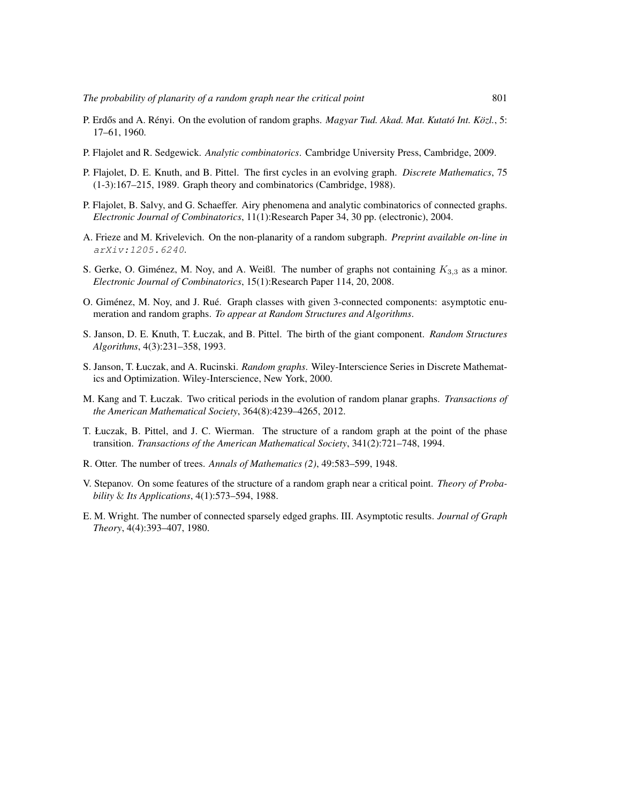- <span id="page-10-0"></span>P. Erdős and A. Rényi. On the evolution of random graphs. *Magyar Tud. Akad. Mat. Kutató Int. Közl.*, 5: 17–61, 1960.
- <span id="page-10-9"></span>P. Flajolet and R. Sedgewick. *Analytic combinatorics*. Cambridge University Press, Cambridge, 2009.
- <span id="page-10-4"></span>P. Flajolet, D. E. Knuth, and B. Pittel. The first cycles in an evolving graph. *Discrete Mathematics*, 75 (1-3):167–215, 1989. Graph theory and combinatorics (Cambridge, 1988).
- <span id="page-10-6"></span>P. Flajolet, B. Salvy, and G. Schaeffer. Airy phenomena and analytic combinatorics of connected graphs. *Electronic Journal of Combinatorics*, 11(1):Research Paper 34, 30 pp. (electronic), 2004.
- <span id="page-10-7"></span>A. Frieze and M. Krivelevich. On the non-planarity of a random subgraph. *Preprint available on-line in* arXiv:1205.6240.
- <span id="page-10-12"></span>S. Gerke, O. Giménez, M. Noy, and A. Weißl. The number of graphs not containing  $K_{3,3}$  as a minor. *Electronic Journal of Combinatorics*, 15(1):Research Paper 114, 20, 2008.
- <span id="page-10-13"></span>O. Giménez, M. Noy, and J. Rué. Graph classes with given 3-connected components: asymptotic enumeration and random graphs. *To appear at Random Structures and Algorithms*.
- <span id="page-10-2"></span>S. Janson, D. E. Knuth, T. Łuczak, and B. Pittel. The birth of the giant component. *Random Structures Algorithms*, 4(3):231–358, 1993.
- <span id="page-10-1"></span>S. Janson, T. Łuczak, and A. Rucinski. *Random graphs*. Wiley-Interscience Series in Discrete Mathematics and Optimization. Wiley-Interscience, New York, 2000.
- <span id="page-10-8"></span>M. Kang and T. Łuczak. Two critical periods in the evolution of random planar graphs. *Transactions of the American Mathematical Society*, 364(8):4239–4265, 2012.
- <span id="page-10-3"></span>T. Łuczak, B. Pittel, and J. C. Wierman. The structure of a random graph at the point of the phase transition. *Transactions of the American Mathematical Society*, 341(2):721–748, 1994.
- <span id="page-10-10"></span>R. Otter. The number of trees. *Annals of Mathematics (2)*, 49:583–599, 1948.
- <span id="page-10-11"></span>V. Stepanov. On some features of the structure of a random graph near a critical point. *Theory of Probability* & *Its Applications*, 4(1):573–594, 1988.
- <span id="page-10-5"></span>E. M. Wright. The number of connected sparsely edged graphs. III. Asymptotic results. *Journal of Graph Theory*, 4(4):393–407, 1980.